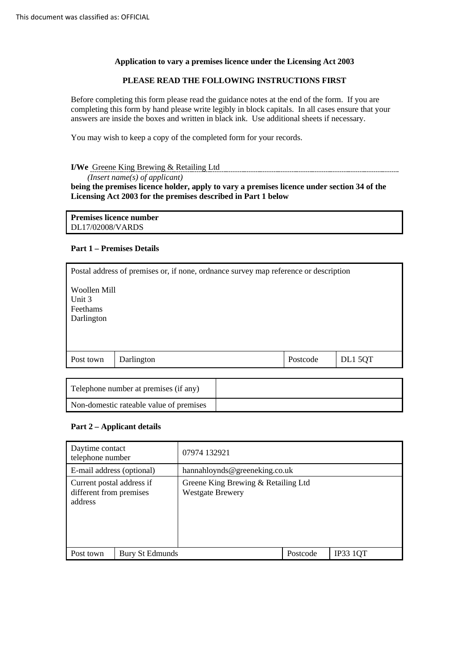### **Application to vary a premises licence under the Licensing Act 2003**

### **PLEASE READ THE FOLLOWING INSTRUCTIONS FIRST**

 Before completing this form please read the guidance notes at the end of the form. If you are completing this form by hand please write legibly in block capitals. In all cases ensure that your answers are inside the boxes and written in black ink. Use additional sheets if necessary.

You may wish to keep a copy of the completed form for your records.

### **I/We** Greene King Brewing & Retailing Ltd

 **being the premises licence holder, apply to vary a premises licence under section 34 of the Licensing Act 2003 for the premises described in Part 1 below**  *(Insert name(s) of applicant)* 

**Premises licence number**  DL17/02008/VARDS

### **Part 1 – Premises Details**

| Postal address of premises or, if none, ordnance survey map reference or description |  |  |
|--------------------------------------------------------------------------------------|--|--|
| Woollen Mill<br>Unit 3<br><b>Feethams</b><br>Darlington                              |  |  |
| Postcode<br>DL1 5QT<br>Darlington<br>Post town                                       |  |  |

| Telephone number at premises (if any)   |  |
|-----------------------------------------|--|
| Non-domestic rateable value of premises |  |

### **Part 2 – Applicant details**

| Daytime contact<br>telephone number                             |                 | 07974 132921                                                   |          |                 |
|-----------------------------------------------------------------|-----------------|----------------------------------------------------------------|----------|-----------------|
| E-mail address (optional)                                       |                 | hannahloynds@greeneking.co.uk                                  |          |                 |
| Current postal address if<br>different from premises<br>address |                 | Greene King Brewing & Retailing Ltd<br><b>Westgate Brewery</b> |          |                 |
| Post town                                                       | Bury St Edmunds |                                                                | Postcode | <b>IP33 1QT</b> |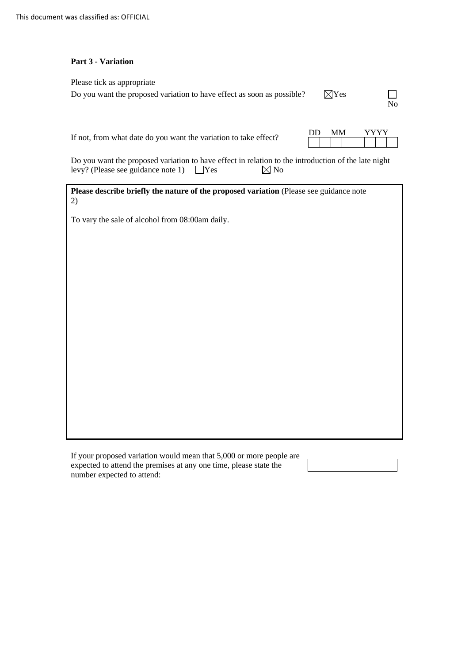### **Part 3 - Variation**

| Please tick as appropriate                                             |                 |    |
|------------------------------------------------------------------------|-----------------|----|
| Do you want the proposed variation to have effect as soon as possible? | $\boxtimes$ Yes | Nο |

If not, from what date do you want the variation to take effect?  $\overline{DD}$  MM YYYY

| DD. |  |  |  |  |  |  |
|-----|--|--|--|--|--|--|
|     |  |  |  |  |  |  |

levy? (Please see guidance note 1)  $\Box$  Yes  $\boxtimes$  No Do you want the proposed variation to have effect in relation to the introduction of the late night levy? (Please see guidance note 1)  $\Box$  Yes  $\Box$  No

Please describe briefly the nature of the proposed variation (Please see guidance note 2)

To vary the sale of alcohol from 08:00am daily.

 expected to attend the premises at any one time, please state the If your proposed variation would mean that 5,000 or more people are number expected to attend: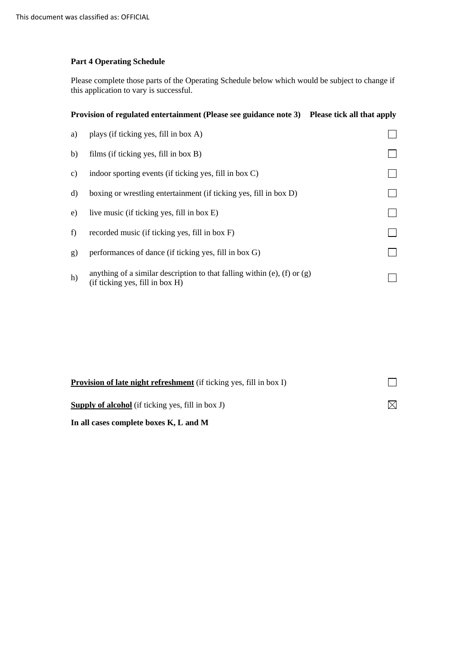### **Part 4 Operating Schedule**

 Please complete those parts of the Operating Schedule below which would be subject to change if this application to vary is successful.

## **Provision of regulated entertainment (Please see guidance note 3) Please tick all that apply**

| a) | plays (if ticking yes, fill in box A)                                                                         |  |
|----|---------------------------------------------------------------------------------------------------------------|--|
| b) | films (if ticking yes, fill in box B)                                                                         |  |
| C) | indoor sporting events (if ticking yes, fill in box C)                                                        |  |
| d) | boxing or wrestling entertainment (if ticking yes, fill in box D)                                             |  |
| e) | live music (if ticking yes, fill in box E)                                                                    |  |
| f) | recorded music (if ticking yes, fill in box F)                                                                |  |
| g) | performances of dance (if ticking yes, fill in box G)                                                         |  |
| h) | anything of a similar description to that falling within (e), (f) or $(g)$<br>(if ticking yes, fill in box H) |  |

| <b>Provision of late night refreshment</b> (if ticking yes, fill in box I) |     |
|----------------------------------------------------------------------------|-----|
| <b>Supply of alcohol</b> (if ticking yes, fill in box J)                   | ΙXι |
| In all cases complete boxes K, L and M                                     |     |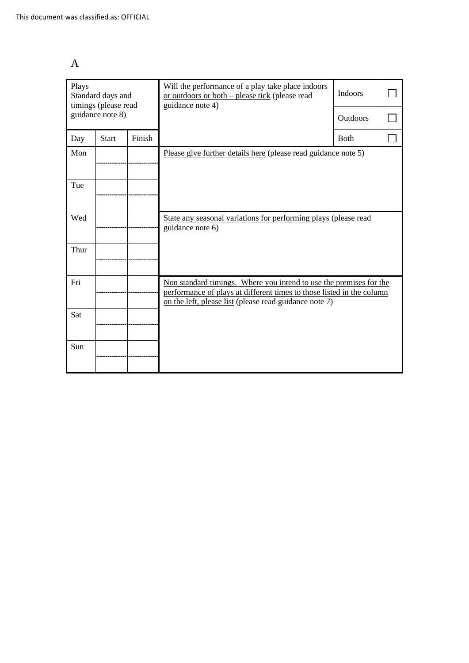| Plays<br>Standard days and<br>timings (please read |                  |        | Will the performance of a play take place indoors<br>or outdoors or both – please tick (please read<br>guidance note 4)                                                                               | <b>Indoors</b>  |  |
|----------------------------------------------------|------------------|--------|-------------------------------------------------------------------------------------------------------------------------------------------------------------------------------------------------------|-----------------|--|
|                                                    | guidance note 8) |        |                                                                                                                                                                                                       | <b>Outdoors</b> |  |
| Day                                                | <b>Start</b>     | Finish |                                                                                                                                                                                                       | <b>Both</b>     |  |
| Mon                                                |                  |        | Please give further details here (please read guidance note 5)                                                                                                                                        |                 |  |
| Tue                                                |                  |        |                                                                                                                                                                                                       |                 |  |
| Wed                                                |                  |        | State any seasonal variations for performing plays (please read<br>guidance note 6)                                                                                                                   |                 |  |
| Thur                                               |                  |        |                                                                                                                                                                                                       |                 |  |
| Fri                                                |                  |        | Non standard timings. Where you intend to use the premises for the<br>performance of plays at different times to those listed in the column<br>on the left, please list (please read guidance note 7) |                 |  |
| Sat                                                |                  |        |                                                                                                                                                                                                       |                 |  |
| Sun                                                |                  |        |                                                                                                                                                                                                       |                 |  |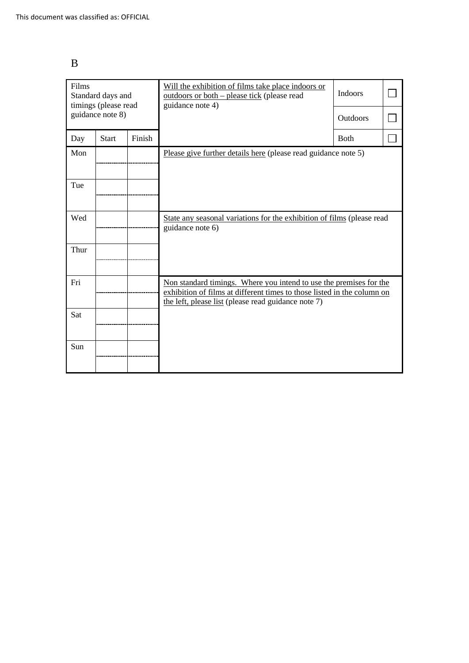| × |               |
|---|---------------|
|   | M.<br>I<br>۰. |
|   | ٧             |

| Films<br>Standard days and<br>timings (please read |                  |        | Will the exhibition of films take place indoors or<br>outdoors or both – please tick (please read<br>guidance note 4)                                                                                | <b>Indoors</b>  |  |
|----------------------------------------------------|------------------|--------|------------------------------------------------------------------------------------------------------------------------------------------------------------------------------------------------------|-----------------|--|
|                                                    | guidance note 8) |        |                                                                                                                                                                                                      | <b>Outdoors</b> |  |
| Day                                                | <b>Start</b>     | Finish |                                                                                                                                                                                                      | <b>B</b> oth    |  |
| Mon                                                |                  |        | Please give further details here (please read guidance note 5)                                                                                                                                       |                 |  |
| Tue                                                |                  |        |                                                                                                                                                                                                      |                 |  |
| Wed                                                |                  |        | State any seasonal variations for the exhibition of films (please read<br>guidance note 6)                                                                                                           |                 |  |
| Thur                                               |                  |        |                                                                                                                                                                                                      |                 |  |
| Fri                                                |                  |        | Non standard timings. Where you intend to use the premises for the<br>exhibition of films at different times to those listed in the column on<br>the left, please list (please read guidance note 7) |                 |  |
| Sat                                                |                  |        |                                                                                                                                                                                                      |                 |  |
| Sun                                                |                  |        |                                                                                                                                                                                                      |                 |  |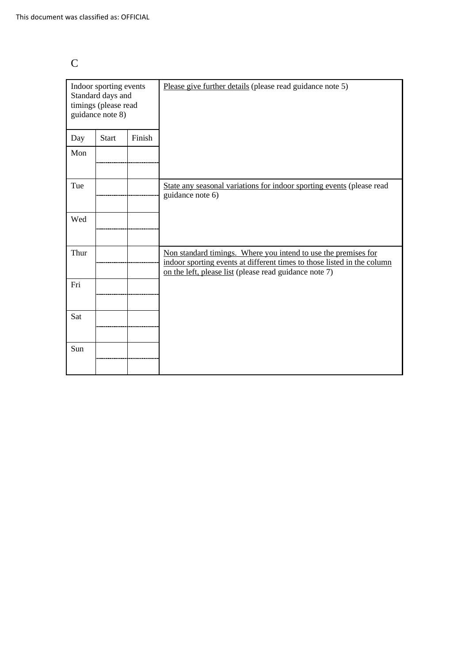|   | ×  |
|---|----|
|   |    |
|   |    |
| × | I  |
|   | ۰. |
|   |    |
|   |    |

| Indoor sporting events<br>Standard days and<br>timings (please read<br>guidance note 8) |              |        | Please give further details (please read guidance note 5)                                                                                                                                           |
|-----------------------------------------------------------------------------------------|--------------|--------|-----------------------------------------------------------------------------------------------------------------------------------------------------------------------------------------------------|
| Day                                                                                     | <b>Start</b> | Finish |                                                                                                                                                                                                     |
| Mon                                                                                     |              |        |                                                                                                                                                                                                     |
| Tue                                                                                     |              |        | State any seasonal variations for indoor sporting events (please read<br>guidance note 6)                                                                                                           |
| Wed                                                                                     |              |        |                                                                                                                                                                                                     |
| Thur                                                                                    |              |        | Non standard timings. Where you intend to use the premises for<br>indoor sporting events at different times to those listed in the column<br>on the left, please list (please read guidance note 7) |
| Fri                                                                                     |              |        |                                                                                                                                                                                                     |
| Sat                                                                                     |              |        |                                                                                                                                                                                                     |
| Sun                                                                                     |              |        |                                                                                                                                                                                                     |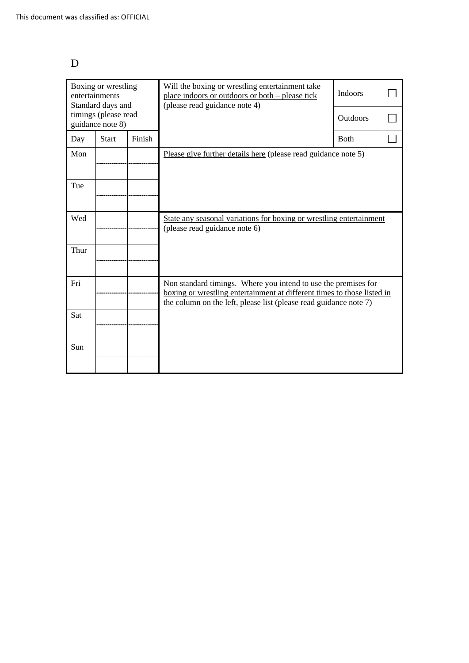## D

| Boxing or wrestling<br>entertainments<br>Standard days and |       |        | Will the boxing or wrestling entertainment take<br>place indoors or outdoors or both – please tick<br>(please read guidance note 4)                                                                            | <b>Indoors</b> |  |
|------------------------------------------------------------|-------|--------|----------------------------------------------------------------------------------------------------------------------------------------------------------------------------------------------------------------|----------------|--|
| timings (please read<br>guidance note 8)                   |       |        |                                                                                                                                                                                                                | Outdoors       |  |
| Day                                                        | Start | Finish |                                                                                                                                                                                                                | <b>B</b> oth   |  |
| Mon                                                        |       |        | Please give further details here (please read guidance note 5)                                                                                                                                                 |                |  |
| Tue                                                        |       |        |                                                                                                                                                                                                                |                |  |
| Wed                                                        |       |        | State any seasonal variations for boxing or wrestling entertainment<br>(please read guidance note 6)                                                                                                           |                |  |
| Thur                                                       |       |        |                                                                                                                                                                                                                |                |  |
| Fri                                                        |       |        | Non standard timings. Where you intend to use the premises for<br>boxing or wrestling entertainment at different times to those listed in<br>the column on the left, please list (please read guidance note 7) |                |  |
| Sat                                                        |       |        |                                                                                                                                                                                                                |                |  |
| Sun                                                        |       |        |                                                                                                                                                                                                                |                |  |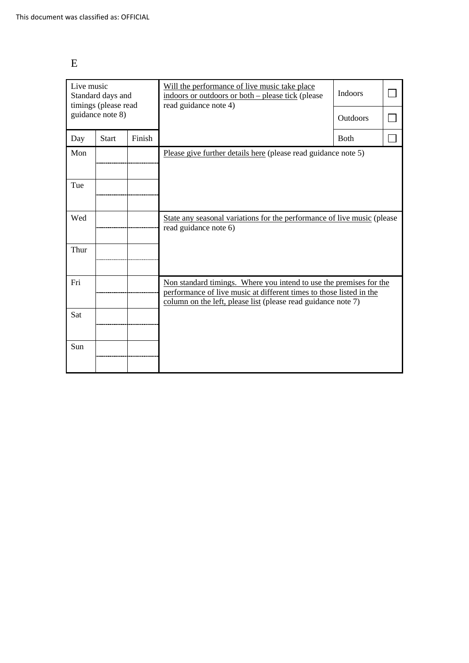## E

| Live music<br>Standard days and<br>timings (please read |              |        | Will the performance of live music take place<br>indoors or outdoors or both – please tick (please<br>read guidance note 4)                                                                                | <b>Indoors</b>  |  |
|---------------------------------------------------------|--------------|--------|------------------------------------------------------------------------------------------------------------------------------------------------------------------------------------------------------------|-----------------|--|
| guidance note 8)                                        |              |        |                                                                                                                                                                                                            | <b>Outdoors</b> |  |
| Day                                                     | <b>Start</b> | Finish |                                                                                                                                                                                                            | <b>Both</b>     |  |
| Mon                                                     |              |        | Please give further details here (please read guidance note 5)                                                                                                                                             |                 |  |
| Tue                                                     |              |        |                                                                                                                                                                                                            |                 |  |
| Wed                                                     |              |        | State any seasonal variations for the performance of live music (please<br>read guidance note 6)                                                                                                           |                 |  |
| Thur                                                    |              |        |                                                                                                                                                                                                            |                 |  |
| Fri                                                     |              |        | Non standard timings. Where you intend to use the premises for the<br>performance of live music at different times to those listed in the<br>column on the left, please list (please read guidance note 7) |                 |  |
| Sat                                                     |              |        |                                                                                                                                                                                                            |                 |  |
| Sun                                                     |              |        |                                                                                                                                                                                                            |                 |  |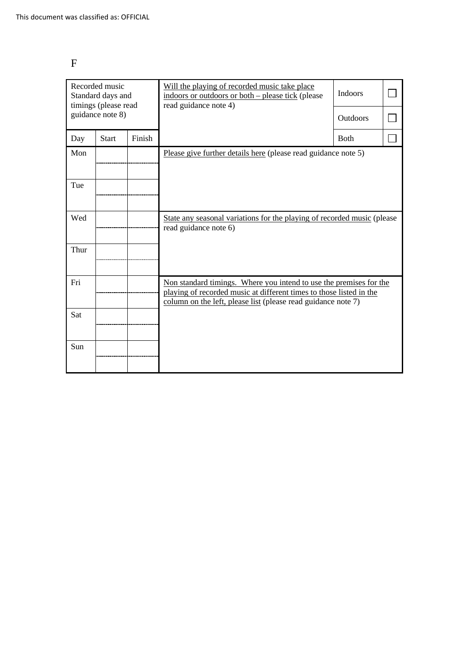# F

| Recorded music<br>Standard days and<br>timings (please read |              |        | Will the playing of recorded music take place<br>indoors or outdoors or both – please tick (please<br>read guidance note 4)                                                                                | <b>Indoors</b>  |  |
|-------------------------------------------------------------|--------------|--------|------------------------------------------------------------------------------------------------------------------------------------------------------------------------------------------------------------|-----------------|--|
| guidance note 8)                                            |              |        |                                                                                                                                                                                                            | <b>Outdoors</b> |  |
| Day                                                         | <b>Start</b> | Finish |                                                                                                                                                                                                            | <b>Both</b>     |  |
| Mon                                                         |              |        | Please give further details here (please read guidance note 5)                                                                                                                                             |                 |  |
|                                                             |              |        |                                                                                                                                                                                                            |                 |  |
| Tue                                                         |              |        |                                                                                                                                                                                                            |                 |  |
|                                                             |              |        |                                                                                                                                                                                                            |                 |  |
| Wed                                                         |              |        | State any seasonal variations for the playing of recorded music (please<br>read guidance note 6)                                                                                                           |                 |  |
| Thur                                                        |              |        |                                                                                                                                                                                                            |                 |  |
|                                                             |              |        |                                                                                                                                                                                                            |                 |  |
| Fri                                                         |              |        | Non standard timings. Where you intend to use the premises for the<br>playing of recorded music at different times to those listed in the<br>column on the left, please list (please read guidance note 7) |                 |  |
| Sat                                                         |              |        |                                                                                                                                                                                                            |                 |  |
|                                                             |              |        |                                                                                                                                                                                                            |                 |  |
| Sun                                                         |              |        |                                                                                                                                                                                                            |                 |  |
|                                                             |              |        |                                                                                                                                                                                                            |                 |  |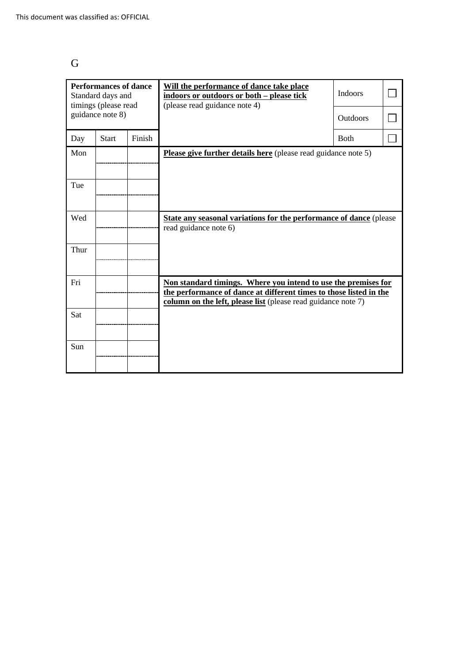## G

| <b>Performances of dance</b><br>Standard days and<br>timings (please read |              |        | Will the performance of dance take place<br>indoors or outdoors or both - please tick<br>(please read guidance note 4)                                                                                | <b>Indoors</b>  |  |
|---------------------------------------------------------------------------|--------------|--------|-------------------------------------------------------------------------------------------------------------------------------------------------------------------------------------------------------|-----------------|--|
| guidance note 8)                                                          |              |        |                                                                                                                                                                                                       | <b>Outdoors</b> |  |
| Day                                                                       | <b>Start</b> | Finish |                                                                                                                                                                                                       | <b>Both</b>     |  |
| Mon                                                                       |              |        | Please give further details here (please read guidance note 5)                                                                                                                                        |                 |  |
| Tue                                                                       |              |        |                                                                                                                                                                                                       |                 |  |
| Wed                                                                       |              |        | <b>State any seasonal variations for the performance of dance</b> (please<br>read guidance note 6)                                                                                                    |                 |  |
| Thur                                                                      |              |        |                                                                                                                                                                                                       |                 |  |
| Fri                                                                       |              |        | Non standard timings. Where you intend to use the premises for<br>the performance of dance at different times to those listed in the<br>column on the left, please list (please read guidance note 7) |                 |  |
| Sat                                                                       |              |        |                                                                                                                                                                                                       |                 |  |
| Sun                                                                       |              |        |                                                                                                                                                                                                       |                 |  |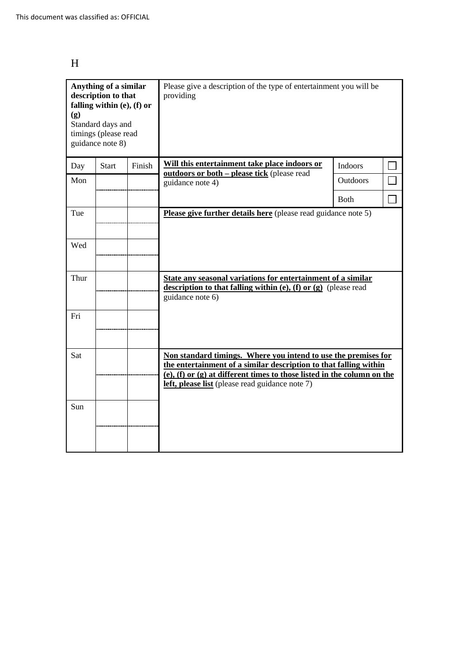## H

| Anything of a similar<br>description to that<br>falling within (e), (f) or<br>(g)<br>Standard days and<br>timings (please read<br>guidance note 8) |              |        | Please give a description of the type of entertainment you will be<br>providing                                                                                                                                                                                          |                |  |
|----------------------------------------------------------------------------------------------------------------------------------------------------|--------------|--------|--------------------------------------------------------------------------------------------------------------------------------------------------------------------------------------------------------------------------------------------------------------------------|----------------|--|
| Day                                                                                                                                                | <b>Start</b> | Finish | Will this entertainment take place indoors or<br>outdoors or both - please tick (please read                                                                                                                                                                             | <b>Indoors</b> |  |
| Mon                                                                                                                                                |              |        | guidance note 4)                                                                                                                                                                                                                                                         | Outdoors       |  |
|                                                                                                                                                    |              |        |                                                                                                                                                                                                                                                                          | Both           |  |
| Tue                                                                                                                                                |              |        | Please give further details here (please read guidance note 5)                                                                                                                                                                                                           |                |  |
| Wed                                                                                                                                                |              |        |                                                                                                                                                                                                                                                                          |                |  |
| Thur                                                                                                                                               |              |        | State any seasonal variations for entertainment of a similar<br>description to that falling within $(e)$ , $(f)$ or $(g)$ (please read<br>guidance note 6)                                                                                                               |                |  |
| Fri                                                                                                                                                |              |        |                                                                                                                                                                                                                                                                          |                |  |
| Sat                                                                                                                                                |              |        | Non standard timings. Where you intend to use the premises for<br>the entertainment of a similar description to that falling within<br>$(e)$ , $(f)$ or $(g)$ at different times to those listed in the column on the<br>left, please list (please read guidance note 7) |                |  |
| Sun                                                                                                                                                |              |        |                                                                                                                                                                                                                                                                          |                |  |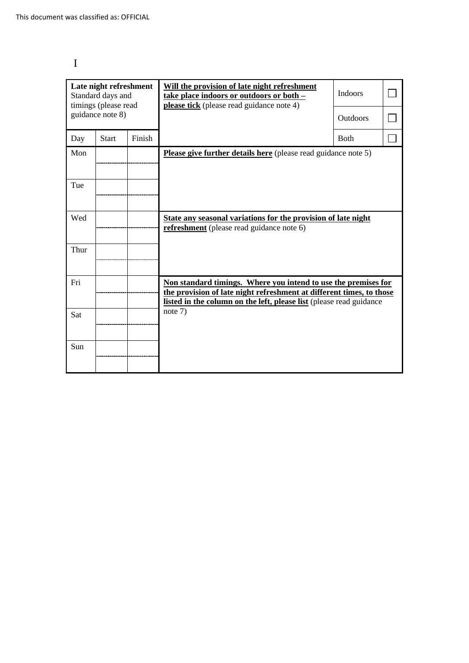# I

| Late night refreshment<br>Standard days and<br>timings (please read<br>guidance note 8) |              |        | Will the provision of late night refreshment<br>take place indoors or outdoors or both -<br>please tick (please read guidance note 4)                                                                         | <b>Indoors</b> |  |
|-----------------------------------------------------------------------------------------|--------------|--------|---------------------------------------------------------------------------------------------------------------------------------------------------------------------------------------------------------------|----------------|--|
|                                                                                         |              |        |                                                                                                                                                                                                               | Outdoors       |  |
| Day                                                                                     | <b>Start</b> | Finish |                                                                                                                                                                                                               | <b>Both</b>    |  |
| Mon                                                                                     |              |        | <b>Please give further details here</b> (please read guidance note 5)                                                                                                                                         |                |  |
| Tue                                                                                     |              |        |                                                                                                                                                                                                               |                |  |
| Wed                                                                                     |              |        | State any seasonal variations for the provision of late night<br><b>refreshment</b> (please read guidance note 6)                                                                                             |                |  |
| Thur                                                                                    |              |        |                                                                                                                                                                                                               |                |  |
| Fri                                                                                     |              |        | Non standard timings. Where you intend to use the premises for<br>the provision of late night refreshment at different times, to those<br>listed in the column on the left, please list (please read guidance |                |  |
| Sat                                                                                     |              |        | note $7)$                                                                                                                                                                                                     |                |  |
| Sun                                                                                     |              |        |                                                                                                                                                                                                               |                |  |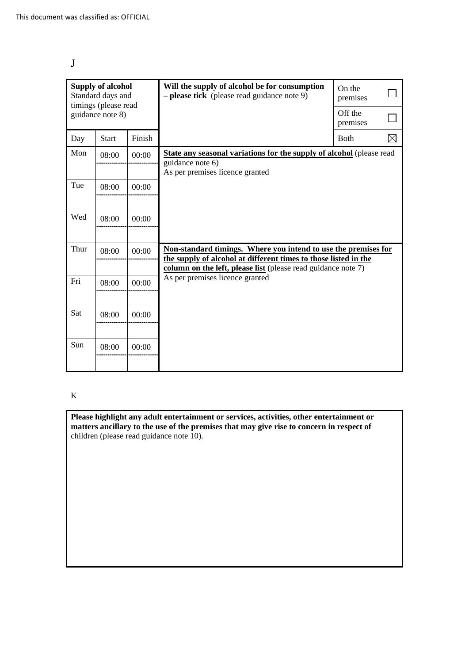| ×<br>۰,                |  |
|------------------------|--|
|                        |  |
| ř<br>۰.<br>×<br>$\sim$ |  |

| <b>Supply of alcohol</b><br>Standard days and<br>timings (please read |              |        | Will the supply of alcohol be for consumption<br>$-$ please tick (please read guidance note 9)                                                                                                     | On the<br>premises  |             |
|-----------------------------------------------------------------------|--------------|--------|----------------------------------------------------------------------------------------------------------------------------------------------------------------------------------------------------|---------------------|-------------|
| guidance note 8)                                                      |              |        |                                                                                                                                                                                                    | Off the<br>premises |             |
| Day                                                                   | <b>Start</b> | Finish |                                                                                                                                                                                                    | <b>Both</b>         | $\boxtimes$ |
| Mon                                                                   | 08:00        | 00:00  | <b>State any seasonal variations for the supply of alcohol</b> (please read<br>guidance note 6)<br>As per premises licence granted                                                                 |                     |             |
| Tue                                                                   | 08:00        | 00:00  |                                                                                                                                                                                                    |                     |             |
| Wed                                                                   | 08:00        | 00:00  |                                                                                                                                                                                                    |                     |             |
| Thur                                                                  | 08:00        | 00:00  | Non-standard timings. Where you intend to use the premises for<br>the supply of alcohol at different times to those listed in the<br>column on the left, please list (please read guidance note 7) |                     |             |
| Fri                                                                   | 08:00        | 00:00  | As per premises licence granted                                                                                                                                                                    |                     |             |
| Sat                                                                   | 08:00        | 00:00  |                                                                                                                                                                                                    |                     |             |
| Sun                                                                   | 08:00        | 00:00  |                                                                                                                                                                                                    |                     |             |

### K

**Please highlight any adult entertainment or services, activities, other entertainment or matters ancillary to the use of the premises that may give rise to concern in respect of**  children (please read guidance note 10).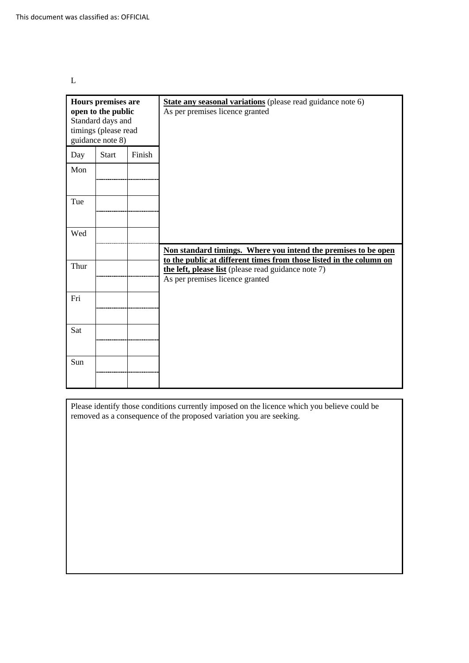L

| <b>Hours premises are</b><br>open to the public<br>Standard days and<br>timings (please read<br>guidance note 8) |       |        | State any seasonal variations (please read guidance note 6)<br>As per premises licence granted                                                                |
|------------------------------------------------------------------------------------------------------------------|-------|--------|---------------------------------------------------------------------------------------------------------------------------------------------------------------|
| Day                                                                                                              | Start | Finish |                                                                                                                                                               |
| Mon                                                                                                              |       |        |                                                                                                                                                               |
| Tue                                                                                                              |       |        |                                                                                                                                                               |
| Wed                                                                                                              |       |        |                                                                                                                                                               |
|                                                                                                                  |       |        | Non standard timings. Where you intend the premises to be open                                                                                                |
| Thur                                                                                                             |       |        | to the public at different times from those listed in the column on<br>the left, please list (please read guidance note 7)<br>As per premises licence granted |
| Fri                                                                                                              |       |        |                                                                                                                                                               |
| Sat                                                                                                              |       |        |                                                                                                                                                               |
| Sun                                                                                                              |       |        |                                                                                                                                                               |

Please identify those conditions currently imposed on the licence which you believe could be removed as a consequence of the proposed variation you are seeking.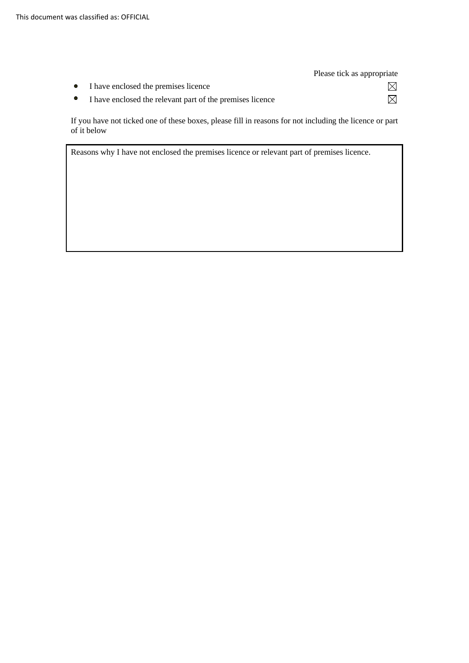|                                                           | Please tick as appropriate |
|-----------------------------------------------------------|----------------------------|
| • I have enclosed the premises licence                    |                            |
| I have enclosed the relevant part of the premises licence |                            |

 If you have not ticked one of these boxes, please fill in reasons for not including the licence or part of it below

Reasons why I have not enclosed the premises licence or relevant part of premises licence.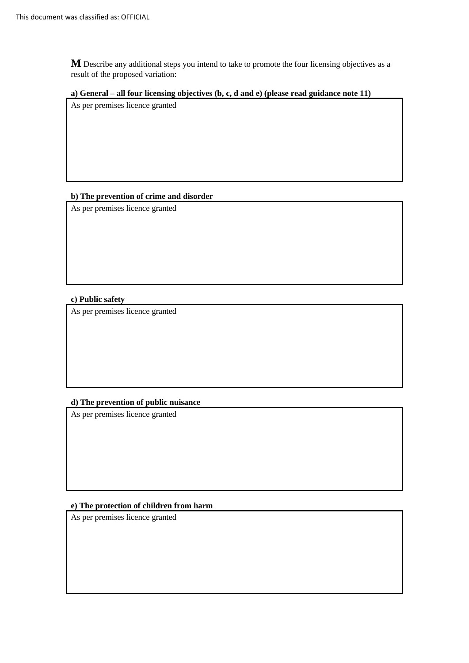**M** Describe any additional steps you intend to take to promote the four licensing objectives as a result of the proposed variation:

### **a) General – all four licensing objectives (b, c, d and e) (please read guidance note 11)**

As per premises licence granted

## **b) The prevention of crime and disorder**

As per premises licence granted

## **c) Public safety**

As per premises licence granted

## **d) The prevention of public nuisance**

As per premises licence granted

## **e) The protection of children from harm**

As per premises licence granted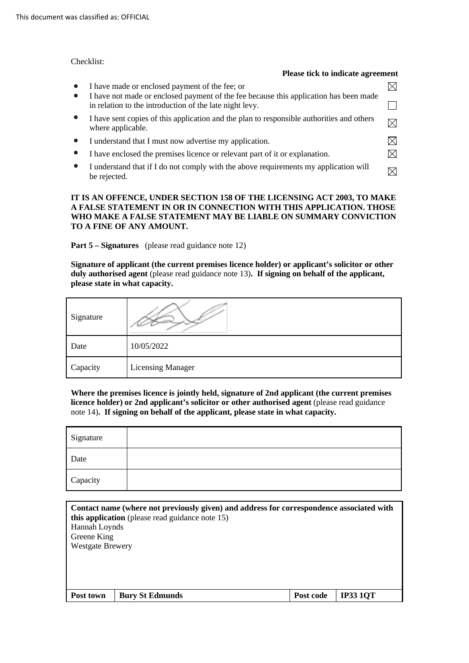#### Checklist:

| Please tick to indicate agreement                                                                                                       |  |
|-----------------------------------------------------------------------------------------------------------------------------------------|--|
| I have made or enclosed payment of the fee; or<br>I have not made or enclosed payment of the fee because this application has been made |  |
| in relation to the introduction of the late night levy.                                                                                 |  |
| I have sent copies of this application and the plan to responsible authorities and others<br>where applicable.                          |  |
| I understand that I must now advertise my application.                                                                                  |  |
| I have enclosed the premises licence or relevant part of it or explanation.                                                             |  |
| I understand that if I do not comply with the above requirements my application will<br>be rejected.                                    |  |

#### **IT IS AN OFFENCE, UNDER SECTION 158 OF THE LICENSING ACT 2003, TO MAKE A FALSE STATEMENT IN OR IN CONNECTION WITH THIS APPLICATION. THOSE WHO MAKE A FALSE STATEMENT MAY BE LIABLE ON SUMMARY CONVICTION TO A FINE OF ANY AMOUNT.**

**Part 5 – Signatures** (please read guidance note 12)

 **Signature of applicant (the current premises licence holder) or applicant's solicitor or other duly authorised agent** (please read guidance note 13)**. If signing on behalf of the applicant, please state in what capacity.** 

| Signature |                          |
|-----------|--------------------------|
| Date      | 10/05/2022               |
| Capacity  | <b>Licensing Manager</b> |

 **Where the premises licence is jointly held, signature of 2nd applicant (the current premises licence holder) or 2nd applicant's solicitor or other authorised agent** (please read guidance  note 14)**. If signing on behalf of the applicant, please state in what capacity.** 

| Signature |  |
|-----------|--|
| Date      |  |
| Capacity  |  |

| Contact name (where not previously given) and address for correspondence associated with<br>this application (please read guidance note 15) |                        |           |                 |  |
|---------------------------------------------------------------------------------------------------------------------------------------------|------------------------|-----------|-----------------|--|
| Hannah Loynds                                                                                                                               |                        |           |                 |  |
| Greene King                                                                                                                                 |                        |           |                 |  |
| <b>Westgate Brewery</b>                                                                                                                     |                        |           |                 |  |
|                                                                                                                                             |                        |           |                 |  |
|                                                                                                                                             |                        |           |                 |  |
|                                                                                                                                             |                        |           |                 |  |
|                                                                                                                                             |                        |           |                 |  |
| Post town                                                                                                                                   | <b>Bury St Edmunds</b> | Post code | <b>IP33 1QT</b> |  |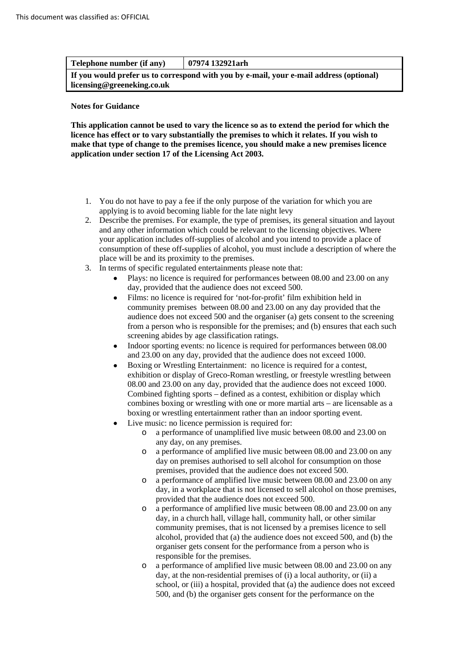| Telephone number (if any)                                                                                             | 07974 132921arh |  |  |
|-----------------------------------------------------------------------------------------------------------------------|-----------------|--|--|
| If you would prefer us to correspond with you by e-mail, your e-mail address (optional)<br>licensing@greeneking.co.uk |                 |  |  |

#### **Notes for Guidance**

 **This application cannot be used to vary the licence so as to extend the period for which the licence has effect or to vary substantially the premises to which it relates. If you wish to make that type of change to the premises licence, you should make a new premises licence application under section 17 of the Licensing Act 2003.** 

- 1. You do not have to pay a fee if the only purpose of the variation for which you are applying is to avoid becoming liable for the late night levy
- consumption of these off-supplies of alcohol, you must include a description of where the 2. Describe the premises. For example, the type of premises, its general situation and layout and any other information which could be relevant to the licensing objectives. Where your application includes off-supplies of alcohol and you intend to provide a place of place will be and its proximity to the premises.
- 3. In terms of specific regulated entertainments please note that:
	- Plays: no licence is required for performances between 08.00 and 23.00 on any day, provided that the audience does not exceed 500.
	- Films: no licence is required for 'not-for-profit' film exhibition held in community premises between 08.00 and 23.00 on any day provided that the audience does not exceed 500 and the organiser (a) gets consent to the screening from a person who is responsible for the premises; and (b) ensures that each such screening abides by age classification ratings.
	- and 23.00 on any day, provided that the audience does not exceed 1000. • Indoor sporting events: no licence is required for performances between 08.00
	- Combined fighting sports defined as a contest, exhibition or display which combines boxing or wrestling with one or more martial arts – are licensable as a • Boxing or Wrestling Entertainment: no licence is required for a contest, exhibition or display of Greco-Roman wrestling, or freestyle wrestling between 08.00 and 23.00 on any day, provided that the audience does not exceed 1000. boxing or wrestling entertainment rather than an indoor sporting event.
	- Live music: no licence permission is required for:
		- o a performance of unamplified live music between 08.00 and 23.00 on any day, on any premises.
		- o a performance of amplified live music between 08.00 and 23.00 on any day on premises authorised to sell alcohol for consumption on those premises, provided that the audience does not exceed 500.
		- o a performance of amplified live music between 08.00 and 23.00 on any day, in a workplace that is not licensed to sell alcohol on those premises, provided that the audience does not exceed 500.
		- o a performance of amplified live music between 08.00 and 23.00 on any day, in a church hall, village hall, community hall, or other similar community premises, that is not licensed by a premises licence to sell alcohol, provided that (a) the audience does not exceed 500, and (b) the organiser gets consent for the performance from a person who is responsible for the premises.
		- o a performance of amplified live music between 08.00 and 23.00 on any day, at the non-residential premises of (i) a local authority, or (ii) a school, or (iii) a hospital, provided that (a) the audience does not exceed 500, and (b) the organiser gets consent for the performance on the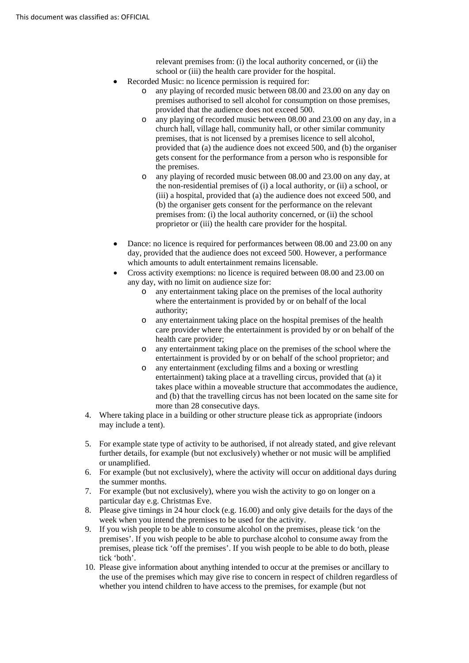relevant premises from: (i) the local authority concerned, or (ii) the school or (iii) the health care provider for the hospital.

- Recorded Music: no licence permission is required for:
	- o any playing of recorded music between 08.00 and 23.00 on any day on premises authorised to sell alcohol for consumption on those premises, provided that the audience does not exceed 500.
	- o any playing of recorded music between 08.00 and 23.00 on any day, in a church hall, village hall, community hall, or other similar community premises, that is not licensed by a premises licence to sell alcohol, provided that (a) the audience does not exceed 500, and (b) the organiser gets consent for the performance from a person who is responsible for the premises.
	- the non-residential premises of (i) a local authority, or (ii) a school, or premises from: (i) the local authority concerned, or (ii) the school proprietor or (iii) the health care provider for the hospital. o any playing of recorded music between 08.00 and 23.00 on any day, at (iii) a hospital, provided that (a) the audience does not exceed 500, and (b) the organiser gets consent for the performance on the relevant
- Dance: no licence is required for performances between 08.00 and 23.00 on any day, provided that the audience does not exceed 500. However, a performance which amounts to adult entertainment remains licensable.
- any day, with no limit on audience size for: • Cross activity exemptions: no licence is required between 08.00 and 23.00 on
	- o any entertainment taking place on the premises of the local authority where the entertainment is provided by or on behalf of the local authority;
	- health care provider; o any entertainment taking place on the hospital premises of the health care provider where the entertainment is provided by or on behalf of the
	- entertainment is provided by or on behalf of the school proprietor; and o any entertainment taking place on the premises of the school where the
	- o any entertainment (excluding films and a boxing or wrestling entertainment) taking place at a travelling circus, provided that (a) it takes place within a moveable structure that accommodates the audience, and (b) that the travelling circus has not been located on the same site for more than 28 consecutive days.
- 4. Where taking place in a building or other structure please tick as appropriate (indoors may include a tent).
- 5. For example state type of activity to be authorised, if not already stated, and give relevant further details, for example (but not exclusively) whether or not music will be amplified or unamplified.
- 6. For example (but not exclusively), where the activity will occur on additional days during the summer months.
- 7. For example (but not exclusively), where you wish the activity to go on longer on a particular day e.g. Christmas Eve.
- 8. Please give timings in 24 hour clock (e.g. 16.00) and only give details for the days of the week when you intend the premises to be used for the activity.
- 9. If you wish people to be able to consume alcohol on the premises, please tick 'on the premises'. If you wish people to be able to purchase alcohol to consume away from the premises, please tick 'off the premises'. If you wish people to be able to do both, please tick 'both'.
- 10. Please give information about anything intended to occur at the premises or ancillary to the use of the premises which may give rise to concern in respect of children regardless of whether you intend children to have access to the premises, for example (but not